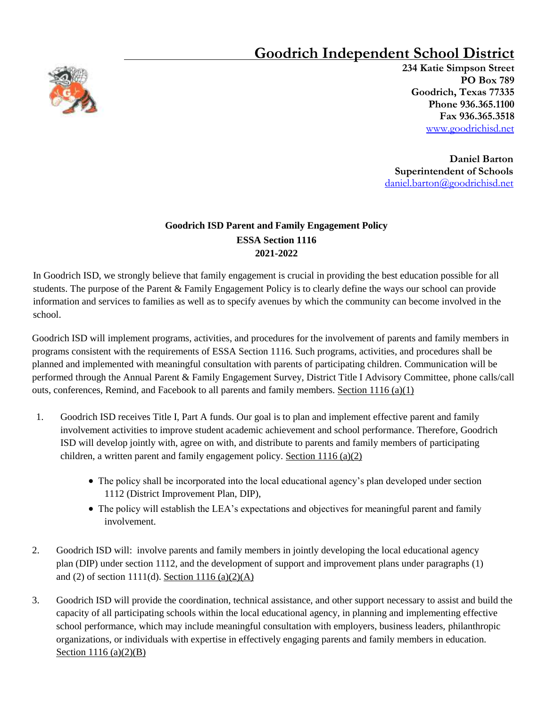## **Goodrich Independent School District**



 **234 Katie Simpson Street PO Box 789 Goodrich, Texas 77335 Phone 936.365.1100 Fax 936.365.3518** www.goodrichisd.net

**Daniel Barton Superintendent of Schools** daniel.barton@goodrichisd.net

## **Goodrich ISD Parent and Family Engagement Policy ESSA Section 1116 2021-2022**

In Goodrich ISD, we strongly believe that family engagement is crucial in providing the best education possible for all students. The purpose of the Parent & Family Engagement Policy is to clearly define the ways our school can provide information and services to families as well as to specify avenues by which the community can become involved in the school.

Goodrich ISD will implement programs, activities, and procedures for the involvement of parents and family members in programs consistent with the requirements of ESSA Section 1116. Such programs, activities, and procedures shall be planned and implemented with meaningful consultation with parents of participating children. Communication will be performed through the Annual Parent & Family Engagement Survey, District Title I Advisory Committee, phone calls/call outs, conferences, Remind, and Facebook to all parents and family members. Section  $1116(a)(1)$ 

- 1. Goodrich ISD receives Title I, Part A funds. Our goal is to plan and implement effective parent and family involvement activities to improve student academic achievement and school performance. Therefore, Goodrich ISD will develop jointly with, agree on with, and distribute to parents and family members of participating children, a written parent and family engagement policy. Section  $1116 (a)(2)$ 
	- The policy shall be incorporated into the local educational agency's plan developed under section 1112 (District Improvement Plan, DIP),
	- The policy will establish the LEA's expectations and objectives for meaningful parent and family involvement.
- 2. Goodrich ISD will: involve parents and family members in jointly developing the local educational agency plan (DIP) under section 1112, and the development of support and improvement plans under paragraphs (1) and (2) of section 1111(d). Section 1116 (a)(2)(A)
- 3. Goodrich ISD will provide the coordination, technical assistance, and other support necessary to assist and build the capacity of all participating schools within the local educational agency, in planning and implementing effective school performance, which may include meaningful consultation with employers, business leaders, philanthropic organizations, or individuals with expertise in effectively engaging parents and family members in education. Section 1116 (a)(2)(B)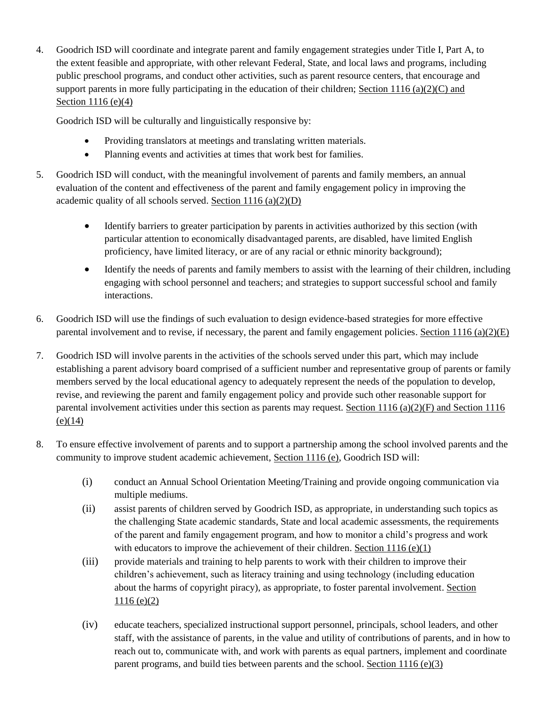4. Goodrich ISD will coordinate and integrate parent and family engagement strategies under Title I, Part A, to the extent feasible and appropriate, with other relevant Federal, State, and local laws and programs, including public preschool programs, and conduct other activities, such as parent resource centers, that encourage and support parents in more fully participating in the education of their children; Section 1116 (a)(2)(C) and Section 1116 (e)(4)

Goodrich ISD will be culturally and linguistically responsive by:

- Providing translators at meetings and translating written materials.
- Planning events and activities at times that work best for families.
- 5. Goodrich ISD will conduct, with the meaningful involvement of parents and family members, an annual evaluation of the content and effectiveness of the parent and family engagement policy in improving the academic quality of all schools served. Section 1116 (a)(2)(D)
	- Identify barriers to greater participation by parents in activities authorized by this section (with particular attention to economically disadvantaged parents, are disabled, have limited English proficiency, have limited literacy, or are of any racial or ethnic minority background);
	- Identify the needs of parents and family members to assist with the learning of their children, including engaging with school personnel and teachers; and strategies to support successful school and family interactions.
- 6. Goodrich ISD will use the findings of such evaluation to design evidence-based strategies for more effective parental involvement and to revise, if necessary, the parent and family engagement policies. Section  $1116 \text{ (a)}(2)(E)$
- 7. Goodrich ISD will involve parents in the activities of the schools served under this part, which may include establishing a parent advisory board comprised of a sufficient number and representative group of parents or family members served by the local educational agency to adequately represent the needs of the population to develop, revise, and reviewing the parent and family engagement policy and provide such other reasonable support for parental involvement activities under this section as parents may request. Section 1116 (a)(2)(F) and Section 1116  $(e)(14)$
- 8. To ensure effective involvement of parents and to support a partnership among the school involved parents and the community to improve student academic achievement, Section 1116 (e), Goodrich ISD will:
	- (i) conduct an Annual School Orientation Meeting/Training and provide ongoing communication via multiple mediums.
	- (ii) assist parents of children served by Goodrich ISD, as appropriate, in understanding such topics as the challenging State academic standards, State and local academic assessments, the requirements of the parent and family engagement program, and how to monitor a child's progress and work with educators to improve the achievement of their children. Section  $1116 \text{ (e)}(1)$
	- (iii) provide materials and training to help parents to work with their children to improve their children's achievement, such as literacy training and using technology (including education about the harms of copyright piracy), as appropriate, to foster parental involvement. Section  $1116 (e)(2)$
	- (iv) educate teachers, specialized instructional support personnel, principals, school leaders, and other staff, with the assistance of parents, in the value and utility of contributions of parents, and in how to reach out to, communicate with, and work with parents as equal partners, implement and coordinate parent programs, and build ties between parents and the school. Section 1116 (e)(3)